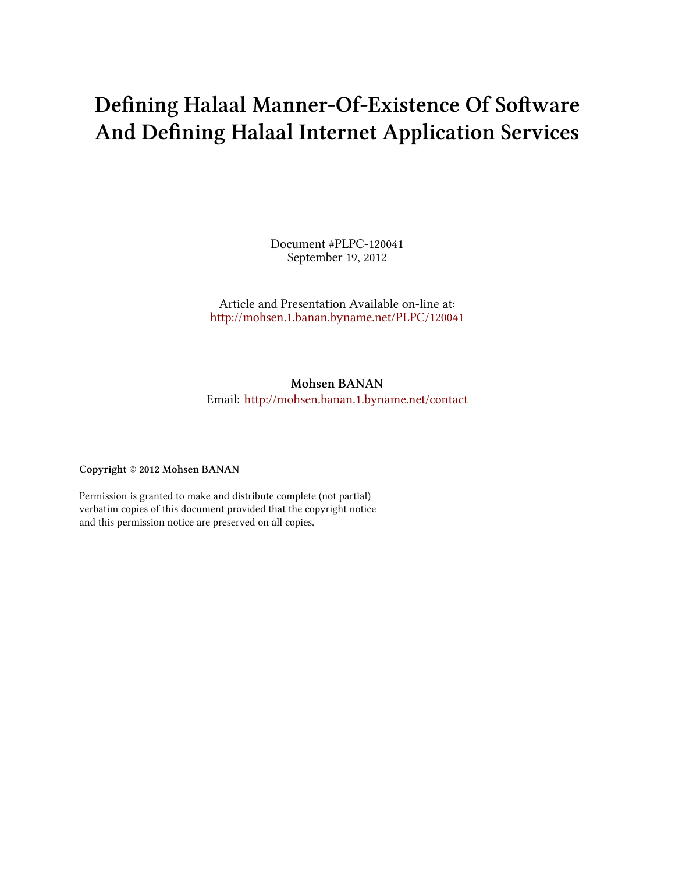# **Defining Halaal Manner-Of-Existence Of Software And Defining Halaal Internet Application Services**

Document #PLPC-120041 September 19, 2012

Article and Presentation Available on-line at: [hp://mohsen.1.banan.byname.net/PLPC/120041](http://mohsen.1.banan.byname.net/PLPC/120041)

# **Mohsen BANAN**

Email: http://mohsen.banan.1.byname.net/contact

**Copyright** © **2012 Mohsen BANAN**

Permission is granted to make and distribute complete (not partial) verbatim copies of this document provided that the copyright notice and this permission notice are preserved on all copies.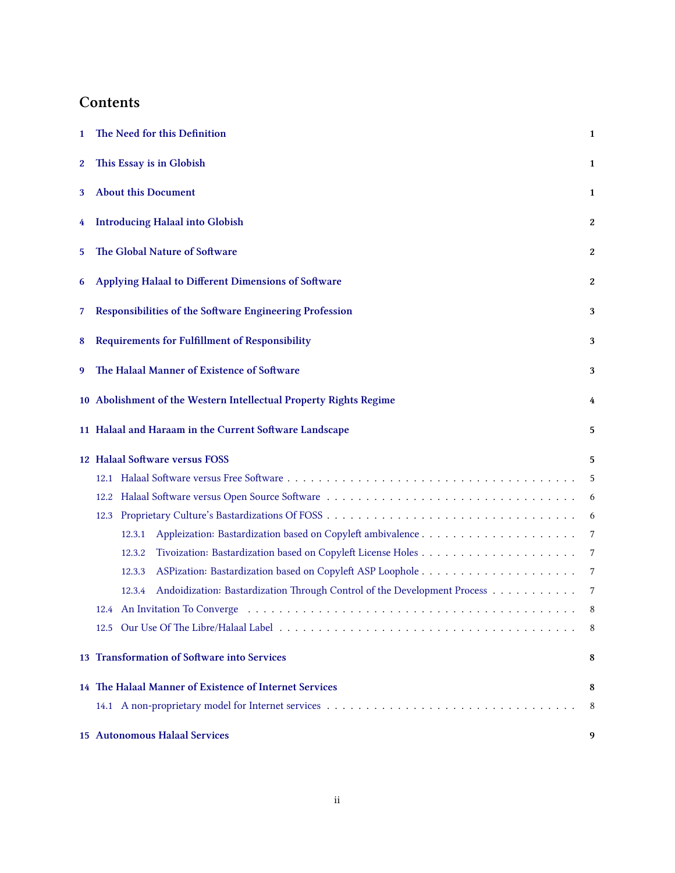# **Contents**

| 1                | The Need for this Definition<br>$\mathbf{1}$                                       |   |  |  |  |  |
|------------------|------------------------------------------------------------------------------------|---|--|--|--|--|
| $\boldsymbol{2}$ | This Essay is in Globish                                                           |   |  |  |  |  |
| 3                | <b>About this Document</b><br>1                                                    |   |  |  |  |  |
| 4                | <b>Introducing Halaal into Globish</b>                                             | 2 |  |  |  |  |
| 5                | The Global Nature of Software<br>2                                                 |   |  |  |  |  |
| 6                | Applying Halaal to Different Dimensions of Software                                | 2 |  |  |  |  |
| 7                | Responsibilities of the Software Engineering Profession<br>3                       |   |  |  |  |  |
| 8                | <b>Requirements for Fulfillment of Responsibility</b><br>3                         |   |  |  |  |  |
| 9                | The Halaal Manner of Existence of Software                                         | 3 |  |  |  |  |
|                  | 10 Abolishment of the Western Intellectual Property Rights Regime                  |   |  |  |  |  |
|                  | 11 Halaal and Haraam in the Current Software Landscape<br>5                        |   |  |  |  |  |
|                  | 12 Halaal Software versus FOSS                                                     | 5 |  |  |  |  |
|                  | 12.1                                                                               | 5 |  |  |  |  |
|                  | 12.2                                                                               | 6 |  |  |  |  |
|                  | 12.3                                                                               | 6 |  |  |  |  |
|                  | 12.3.1                                                                             | 7 |  |  |  |  |
|                  | 12.3.2                                                                             | 7 |  |  |  |  |
|                  | 12.3.3                                                                             | 7 |  |  |  |  |
|                  | Andoidization: Bastardization Through Control of the Development Process<br>12.3.4 | 7 |  |  |  |  |
|                  |                                                                                    | 8 |  |  |  |  |
|                  |                                                                                    | 8 |  |  |  |  |
|                  | 13 Transformation of Software into Services                                        |   |  |  |  |  |
|                  | 14 The Halaal Manner of Existence of Internet Services                             | 8 |  |  |  |  |
|                  |                                                                                    | 8 |  |  |  |  |
|                  | <b>15 Autonomous Halaal Services</b><br>9                                          |   |  |  |  |  |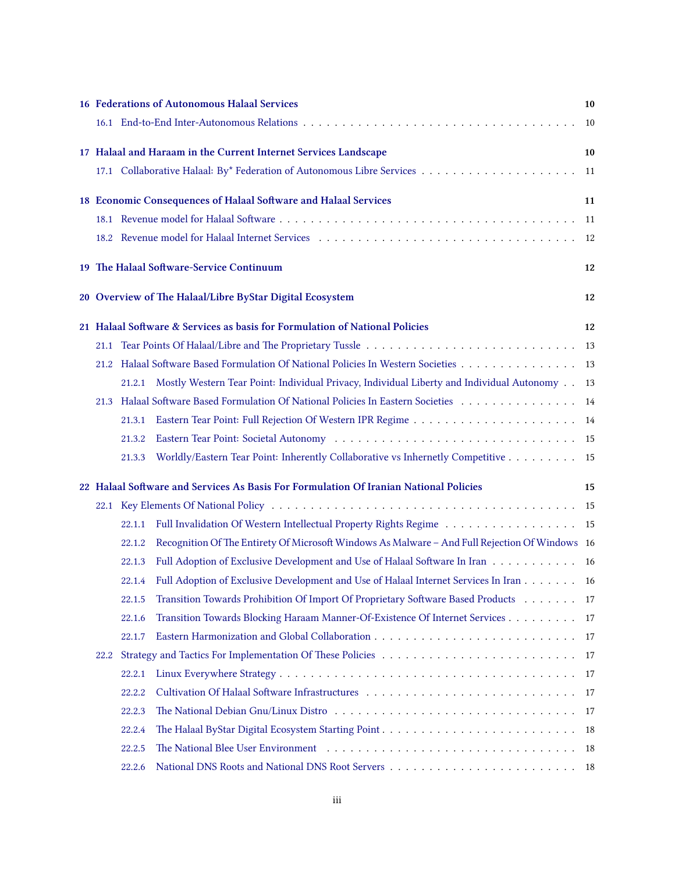|                                                                                             |        | 16 Federations of Autonomous Halaal Services                                                   | 10   |  |  |
|---------------------------------------------------------------------------------------------|--------|------------------------------------------------------------------------------------------------|------|--|--|
|                                                                                             |        |                                                                                                | 10   |  |  |
|                                                                                             |        | 17 Halaal and Haraam in the Current Internet Services Landscape                                | 10   |  |  |
|                                                                                             |        |                                                                                                | 11   |  |  |
|                                                                                             |        | 18 Economic Consequences of Halaal Software and Halaal Services                                | 11   |  |  |
|                                                                                             |        |                                                                                                | - 11 |  |  |
|                                                                                             |        |                                                                                                |      |  |  |
|                                                                                             |        | 19 The Halaal Software-Service Continuum                                                       | 12   |  |  |
|                                                                                             |        | 20 Overview of The Halaal/Libre ByStar Digital Ecosystem                                       | 12   |  |  |
| 21 Halaal Software & Services as basis for Formulation of National Policies<br>12           |        |                                                                                                |      |  |  |
|                                                                                             |        |                                                                                                | 13   |  |  |
|                                                                                             |        | 21.2 Halaal Software Based Formulation Of National Policies In Western Societies 13            |      |  |  |
|                                                                                             | 21.2.1 | Mostly Western Tear Point: Individual Privacy, Individual Liberty and Individual Autonomy 13   |      |  |  |
| 21.3                                                                                        |        | Halaal Software Based Formulation Of National Policies In Eastern Societies 14                 |      |  |  |
|                                                                                             | 21.3.1 |                                                                                                |      |  |  |
|                                                                                             | 21.3.2 |                                                                                                |      |  |  |
|                                                                                             | 21.3.3 | Worldly/Eastern Tear Point: Inherently Collaborative vs Inhernetly Competitive 15              |      |  |  |
| 22 Halaal Software and Services As Basis For Formulation Of Iranian National Policies<br>15 |        |                                                                                                |      |  |  |
|                                                                                             |        |                                                                                                |      |  |  |
|                                                                                             | 22.1.1 | Full Invalidation Of Western Intellectual Property Rights Regime 15                            |      |  |  |
|                                                                                             | 22.1.2 | Recognition Of The Entirety Of Microsoft Windows As Malware - And Full Rejection Of Windows 16 |      |  |  |
|                                                                                             | 22.1.3 | Full Adoption of Exclusive Development and Use of Halaal Software In Iran 16                   |      |  |  |
|                                                                                             | 22.1.4 | Full Adoption of Exclusive Development and Use of Halaal Internet Services In Iran 16          |      |  |  |
|                                                                                             | 22.1.5 | Transition Towards Prohibition Of Import Of Proprietary Software Based Products 17             |      |  |  |
|                                                                                             | 22.1.6 | Transition Towards Blocking Haraam Manner-Of-Existence Of Internet Services 17                 |      |  |  |
|                                                                                             | 22.1.7 |                                                                                                |      |  |  |
| 22.2                                                                                        |        |                                                                                                |      |  |  |
|                                                                                             | 22.2.1 |                                                                                                |      |  |  |
|                                                                                             | 22.2.2 |                                                                                                |      |  |  |
|                                                                                             | 22.2.3 |                                                                                                |      |  |  |
|                                                                                             | 22.2.4 |                                                                                                |      |  |  |
|                                                                                             | 22.2.5 |                                                                                                |      |  |  |
|                                                                                             | 22.2.6 |                                                                                                |      |  |  |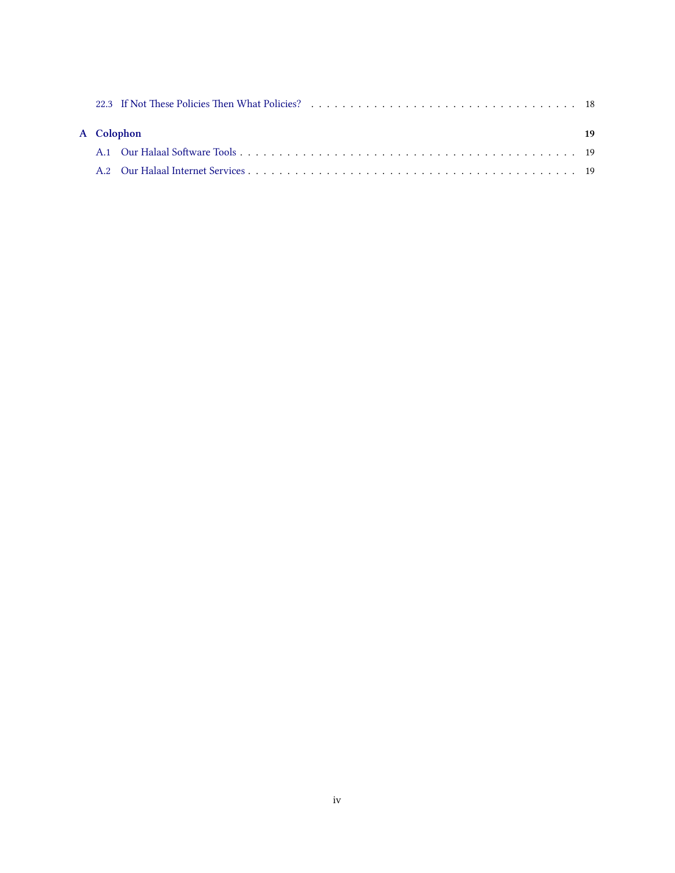|            |  | 22.3 If Not These Policies Then What Policies? (a) respectively respectively and the set of the set of the set of the set of the set of the set of the set of the set of the set of the set of the set of the set of the set o |    |
|------------|--|--------------------------------------------------------------------------------------------------------------------------------------------------------------------------------------------------------------------------------|----|
| A Colophon |  |                                                                                                                                                                                                                                | 19 |
|            |  |                                                                                                                                                                                                                                |    |
|            |  |                                                                                                                                                                                                                                |    |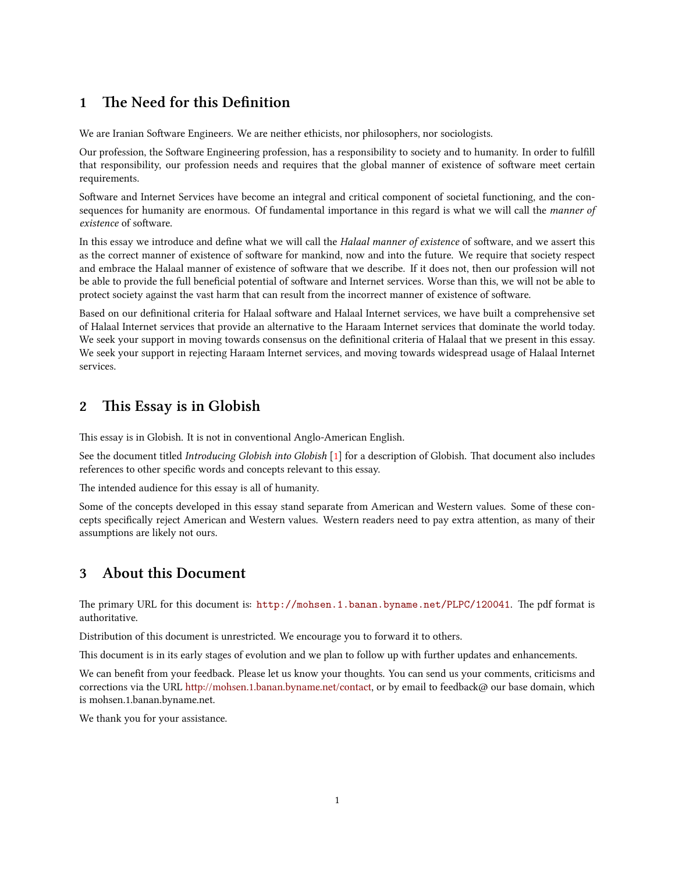## <span id="page-4-0"></span>**1 e Need for this Definition**

We are Iranian Software Engineers. We are neither ethicists, nor philosophers, nor sociologists.

Our profession, the Software Engineering profession, has a responsibility to society and to humanity. In order to fulfill that responsibility, our profession needs and requires that the global manner of existence of software meet certain requirements.

Software and Internet Services have become an integral and critical component of societal functioning, and the consequences for humanity are enormous. Of fundamental importance in this regard is what we will call the *manner of existence* of software.

In this essay we introduce and define what we will call the *Halaal manner of existence* of software, and we assert this as the correct manner of existence of software for mankind, now and into the future. We require that society respect and embrace the Halaal manner of existence of software that we describe. If it does not, then our profession will not be able to provide the full beneficial potential of software and Internet services. Worse than this, we will not be able to protect society against the vast harm that can result from the incorrect manner of existence of software.

Based on our definitional criteria for Halaal software and Halaal Internet services, we have built a comprehensive set of Halaal Internet services that provide an alternative to the Haraam Internet services that dominate the world today. We seek your support in moving towards consensus on the definitional criteria of Halaal that we present in this essay. We seek your support in rejecting Haraam Internet services, and moving towards widespread usage of Halaal Internet services.

### <span id="page-4-1"></span>**2** This Essay is in Globish

This essay is in Globish. It is not in conventional Anglo-American English.

See the document titled *Introducing Globish into Globish* [[1\]](#page-23-0) for a description of Globish. That document also includes references to other specific words and concepts relevant to this essay.

The intended audience for this essay is all of humanity.

Some of the concepts developed in this essay stand separate from American and Western values. Some of these concepts specifically reject American and Western values. Western readers need to pay extra attention, as many of their assumptions are likely not ours.

### <span id="page-4-2"></span>**3 About this Document**

The primary URL for this document is: <http://mohsen.1.banan.byname.net/PLPC/120041>. The pdf format is authoritative.

Distribution of this document is unrestricted. We encourage you to forward it to others.

This document is in its early stages of evolution and we plan to follow up with further updates and enhancements.

We can benefit from your feedback. Please let us know your thoughts. You can send us your comments, criticisms and corrections via the URL http://mohsen.1.banan.byname.net/contact, or by email to feedback@ our base domain, which is mohsen.1.banan.byname.net.

We thank you for your assistance.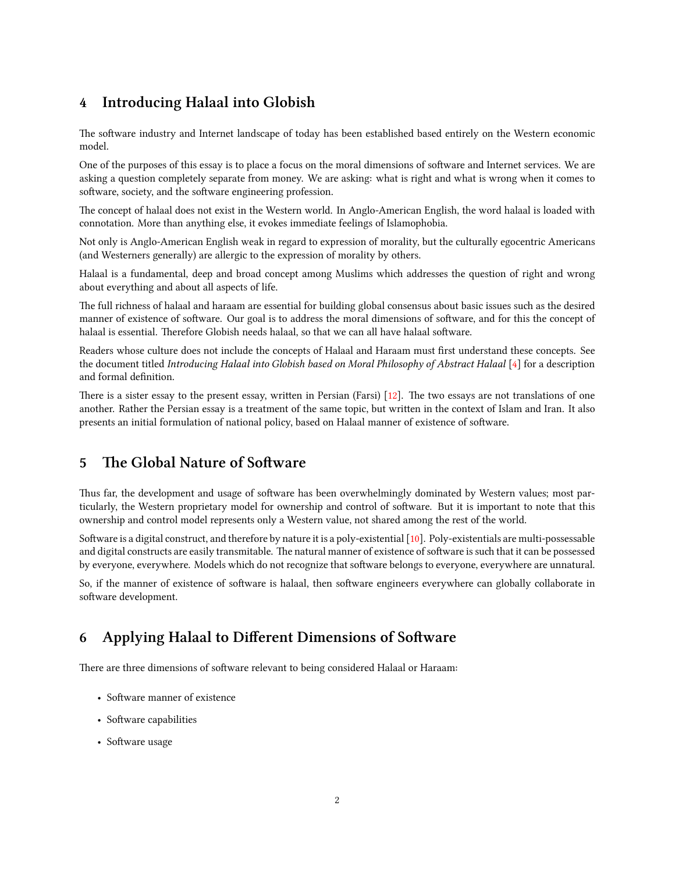# <span id="page-5-0"></span>**4 Introducing Halaal into Globish**

The software industry and Internet landscape of today has been established based entirely on the Western economic model.

One of the purposes of this essay is to place a focus on the moral dimensions of software and Internet services. We are asking a question completely separate from money. We are asking: what is right and what is wrong when it comes to software, society, and the software engineering profession.

The concept of halaal does not exist in the Western world. In Anglo-American English, the word halaal is loaded with connotation. More than anything else, it evokes immediate feelings of Islamophobia.

Not only is Anglo-American English weak in regard to expression of morality, but the culturally egocentric Americans (and Westerners generally) are allergic to the expression of morality by others.

Halaal is a fundamental, deep and broad concept among Muslims which addresses the question of right and wrong about everything and about all aspects of life.

The full richness of halaal and haraam are essential for building global consensus about basic issues such as the desired manner of existence of software. Our goal is to address the moral dimensions of software, and for this the concept of halaal is essential. Therefore Globish needs halaal, so that we can all have halaal software.

Readers whose culture does not include the concepts of Halaal and Haraam must first understand these concepts. See the document titled *Introducing Halaal into Globish based on Moral Philosophy of Abstract Halaal* [[4](#page-23-1)] for a description and formal definition.

Thereis a sister essay to the present essay, written in Persian (Farsi)  $\lceil 12 \rceil$  $\lceil 12 \rceil$  $\lceil 12 \rceil$ . The two essays are not translations of one another. Rather the Persian essay is a treatment of the same topic, but written in the context of Islam and Iran. It also presents an initial formulation of national policy, based on Halaal manner of existence of software.

# <span id="page-5-1"></span>**5 The Global Nature of Software**

Thus far, the development and usage of software has been overwhelmingly dominated by Western values; most particularly, the Western proprietary model for ownership and control of software. But it is important to note that this ownership and control model represents only a Western value, not shared among the rest of the world.

Software is a digital construct, and therefore by nature it is a poly-existential  $[10]$ . Poly-existentials are multi-possessable and digital constructs are easily transmitable. The natural manner of existence of software is such that it can be possessed by everyone, everywhere. Models which do not recognize that software belongs to everyone, everywhere are unnatural.

So, if the manner of existence of software is halaal, then software engineers everywhere can globally collaborate in software development.

# <span id="page-5-2"></span>**6 Applying Halaal to Different Dimensions of Software**

There are three dimensions of software relevant to being considered Halaal or Haraam:

- Software manner of existence
- Software capabilities
- Software usage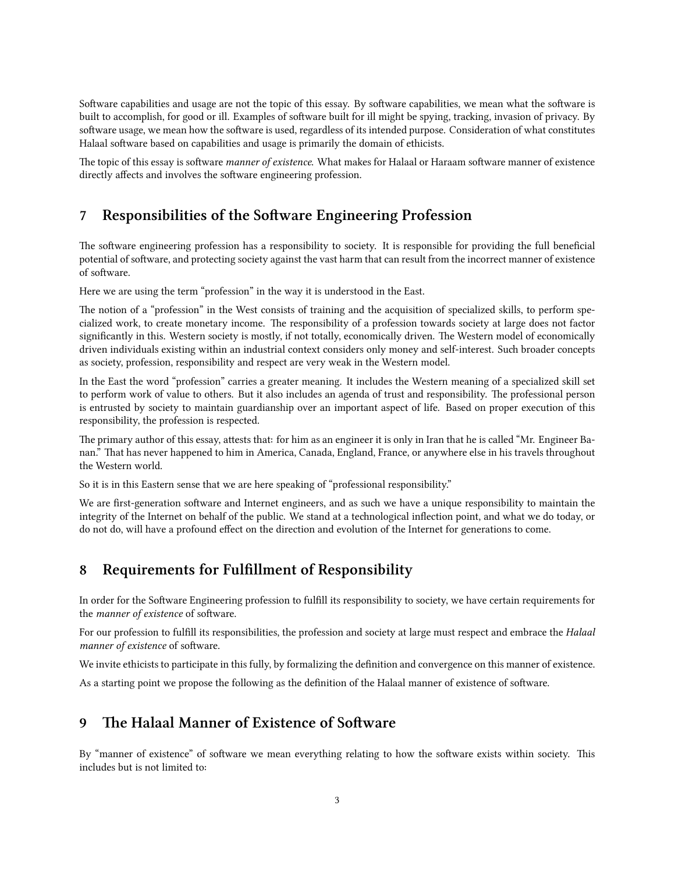Software capabilities and usage are not the topic of this essay. By software capabilities, we mean what the software is built to accomplish, for good or ill. Examples of software built for ill might be spying, tracking, invasion of privacy. By software usage, we mean how the software is used, regardless of its intended purpose. Consideration of what constitutes Halaal software based on capabilities and usage is primarily the domain of ethicists.

The topic of this essay is software *manner of existence*. What makes for Halaal or Haraam software manner of existence directly affects and involves the software engineering profession.

### <span id="page-6-0"></span>**7** Responsibilities of the Software Engineering Profession

The software engineering profession has a responsibility to society. It is responsible for providing the full beneficial potential of software, and protecting society against the vast harm that can result from the incorrect manner of existence of software.

Here we are using the term "profession" in the way it is understood in the East.

The notion of a "profession" in the West consists of training and the acquisition of specialized skills, to perform specialized work, to create monetary income. The responsibility of a profession towards society at large does not factor significantly in this. Western society is mostly, if not totally, economically driven. The Western model of economically driven individuals existing within an industrial context considers only money and self-interest. Such broader concepts as society, profession, responsibility and respect are very weak in the Western model.

In the East the word "profession" carries a greater meaning. It includes the Western meaning of a specialized skill set to perform work of value to others. But it also includes an agenda of trust and responsibility. The professional person is entrusted by society to maintain guardianship over an important aspect of life. Based on proper execution of this responsibility, the profession is respected.

The primary author of this essay, attests that: for him as an engineer it is only in Iran that he is called "Mr. Engineer Banan." That has never happened to him in America, Canada, England, France, or anywhere else in his travels throughout the Western world.

So it is in this Eastern sense that we are here speaking of "professional responsibility."

We are first-generation software and Internet engineers, and as such we have a unique responsibility to maintain the integrity of the Internet on behalf of the public. We stand at a technological inflection point, and what we do today, or do not do, will have a profound effect on the direction and evolution of the Internet for generations to come.

# <span id="page-6-1"></span>**8 Requirements for Fulfillment of Responsibility**

In order for the Software Engineering profession to fulfill its responsibility to society, we have certain requirements for the *manner* of existence of software.

For our profession to fulfill its responsibilities, the profession and society at large must respect and embrace the *Halaal manner of existence* of software.

We invite ethicists to participate in this fully, by formalizing the definition and convergence on this manner of existence.

As a starting point we propose the following as the definition of the Halaal manner of existence of software.

# <span id="page-6-2"></span>**9** The Halaal Manner of Existence of Software

By "manner of existence" of software we mean everything relating to how the software exists within society. This includes but is not limited to: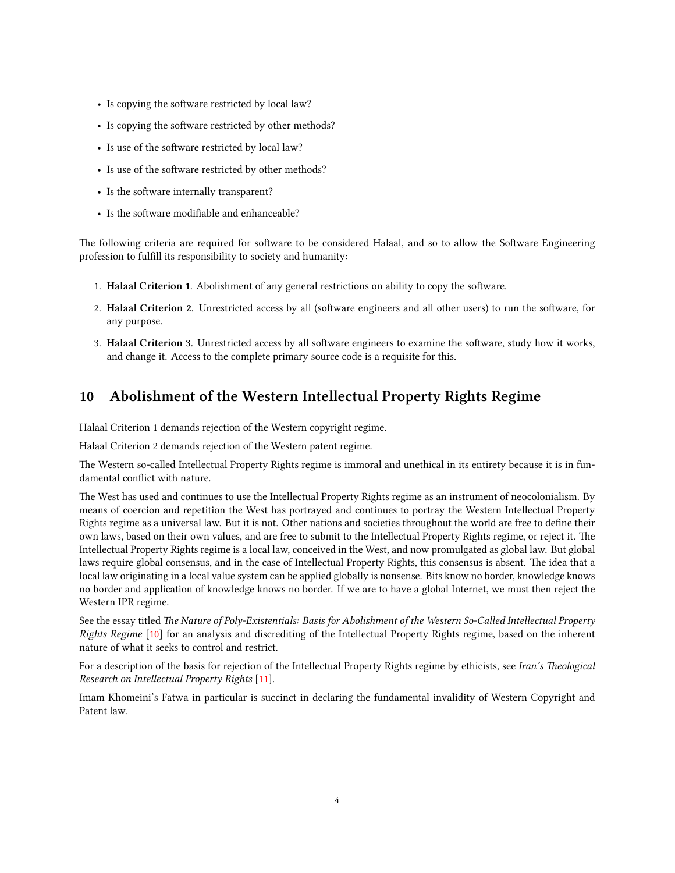- Is copying the software restricted by local law?
- Is copying the software restricted by other methods?
- Is use of the software restricted by local law?
- Is use of the software restricted by other methods?
- Is the software internally transparent?
- Is the software modifiable and enhanceable?

The following criteria are required for software to be considered Halaal, and so to allow the Software Engineering profession to fulfill its responsibility to society and humanity:

- 1. Halaal Criterion 1. Abolishment of any general restrictions on ability to copy the software.
- 2. Halaal Criterion 2. Unrestricted access by all (software engineers and all other users) to run the software, for any purpose.
- 3. **Halaal Criterion 3**. Unrestricted access by all software engineers to examine the software, study how it works, and change it. Access to the complete primary source code is a requisite for this.

# <span id="page-7-0"></span>**10 Abolishment of the Western Intellectual Property Rights Regime**

Halaal Criterion 1 demands rejection of the Western copyright regime.

Halaal Criterion 2 demands rejection of the Western patent regime.

The Western so-called Intellectual Property Rights regime is immoral and unethical in its entirety because it is in fundamental conflict with nature.

The West has used and continues to use the Intellectual Property Rights regime as an instrument of neocolonialism. By means of coercion and repetition the West has portrayed and continues to portray the Western Intellectual Property Rights regime as a universal law. But it is not. Other nations and societies throughout the world are free to define their own laws, based on their own values, and are free to submit to the Intellectual Property Rights regime, or reject it. The Intellectual Property Rights regime is a local law, conceived in the West, and now promulgated as global law. But global laws require global consensus, and in the case of Intellectual Property Rights, this consensus is absent. The idea that a local law originating in a local value system can be applied globally is nonsense. Bits know no border, knowledge knows no border and application of knowledge knows no border. If we are to have a global Internet, we must then reject the Western IPR regime.

See the essay titled *The Nature of Poly-Existentials: Basis for Abolishment of the Western So-Called Intellectual Property Rights Regime* [[10](#page-24-1)] for an analysis and discrediting of the Intellectual Property Rights regime, based on the inherent nature of what it seeks to control and restrict.

For a description of the basis for rejection of the Intellectual Property Rights regime by ethicists, see *Iran's Theological Resear on Intellectual Property Rights* [[11\]](#page-24-2).

Imam Khomeini's Fatwa in particular is succinct in declaring the fundamental invalidity of Western Copyright and Patent law.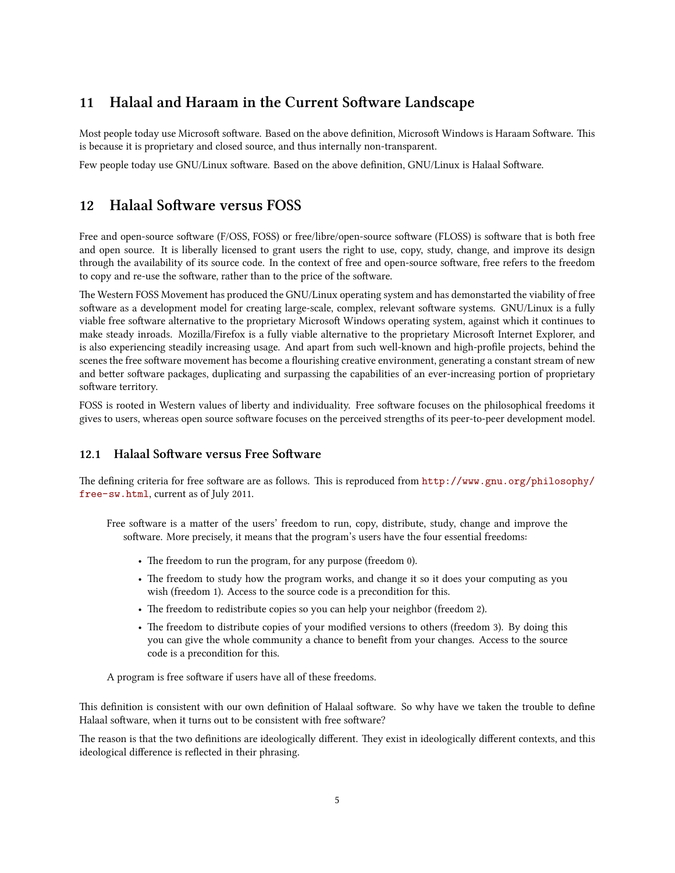# <span id="page-8-0"></span>**11 Halaal and Haraam in the Current Software Landscape**

Most people today use Microsoft software. Based on the above definition, Microsoft Windows is Haraam Software. This is because it is proprietary and closed source, and thus internally non-transparent.

Few people today use GNU/Linux software. Based on the above definition, GNU/Linux is Halaal Software.

### <span id="page-8-1"></span>**12** Halaal Software versus FOSS

Free and open-source software (F/OSS, FOSS) or free/libre/open-source software (FLOSS) is software that is both free and open source. It is liberally licensed to grant users the right to use, copy, study, change, and improve its design through the availability of its source code. In the context of free and open-source software, free refers to the freedom to copy and re-use the software, rather than to the price of the software.

The Western FOSS Movement has produced the GNU/Linux operating system and has demonstarted the viability of free software as a development model for creating large-scale, complex, relevant software systems. GNU/Linux is a fully viable free software alternative to the proprietary Microsoft Windows operating system, against which it continues to make steady inroads. Mozilla/Firefox is a fully viable alternative to the proprietary Microsoft Internet Explorer, and is also experiencing steadily increasing usage. And apart from such well-known and high-profile projects, behind the scenes the free software movement has become a flourishing creative environment, generating a constant stream of new and better software packages, duplicating and surpassing the capabilities of an ever-increasing portion of proprietary software territory.

FOSS is rooted in Western values of liberty and individuality. Free software focuses on the philosophical freedoms it gives to users, whereas open source software focuses on the perceived strengths of its peer-to-peer development model.

### <span id="page-8-2"></span>**12.1 Halaal Software versus Free Software**

The defining criteria for free software are as follows. This is reproduced from  $http://www.gnu.org/philosophy/$ [free-sw.html](http://www.gnu.org/philosophy/free-sw.html), current as of July 2011.

Free software is a matter of the users' freedom to run, copy, distribute, study, change and improve the software. More precisely, it means that the program's users have the four essential freedoms:

- The freedom to run the program, for any purpose (freedom 0).
- The freedom to study how the program works, and change it so it does your computing as you wish (freedom 1). Access to the source code is a precondition for this.
- The freedom to redistribute copies so you can help your neighbor (freedom 2).
- The freedom to distribute copies of your modified versions to others (freedom 3). By doing this you can give the whole community a chance to benefit from your changes. Access to the source code is a precondition for this.

A program is free software if users have all of these freedoms.

This definition is consistent with our own definition of Halaal software. So why have we taken the trouble to define Halaal software, when it turns out to be consistent with free software?

The reason is that the two definitions are ideologically different. They exist in ideologically different contexts, and this ideological difference is reflected in their phrasing.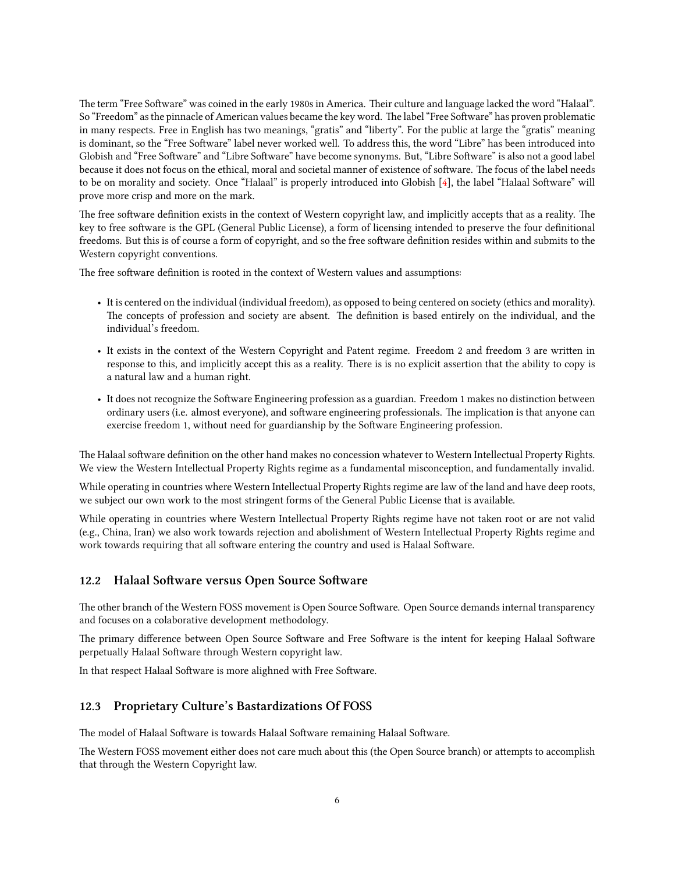The term "Free Software" was coined in the early 1980s in America. Their culture and language lacked the word "Halaal". So "Freedom" as the pinnacle of American values became the key word. The label "Free Software" has proven problematic in many respects. Free in English has two meanings, "gratis" and "liberty". For the public at large the "gratis" meaning is dominant, so the "Free Software" label never worked well. To address this, the word "Libre" has been introduced into Globish and "Free Software" and "Libre Software" have become synonyms. But, "Libre Software" is also not a good label because it does not focus on the ethical, moral and societal manner of existence of software. The focus of the label needs to be on morality and society. Once "Halaal" is properly introduced into Globish [\[4\]](#page-23-1), the label "Halaal Software" will prove more crisp and more on the mark.

The free software definition exists in the context of Western copyright law, and implicitly accepts that as a reality. The key to free software is the GPL (General Public License), a form of licensing intended to preserve the four definitional freedoms. But this is of course a form of copyright, and so the free software definition resides within and submits to the Western copyright conventions.

The free software definition is rooted in the context of Western values and assumptions:

- It is centered on the individual (individual freedom), as opposed to being centered on society (ethics and morality). The concepts of profession and society are absent. The definition is based entirely on the individual, and the individual's freedom.
- It exists in the context of the Western Copyright and Patent regime. Freedom 2 and freedom 3 are written in response to this, and implicitly accept this as a reality. There is is no explicit assertion that the ability to copy is a natural law and a human right.
- It does not recognize the Software Engineering profession as a guardian. Freedom 1 makes no distinction between ordinary users (i.e. almost everyone), and software engineering professionals. The implication is that anyone can exercise freedom 1, without need for guardianship by the Software Engineering profession.

The Halaal software definition on the other hand makes no concession whatever to Western Intellectual Property Rights. We view the Western Intellectual Property Rights regime as a fundamental misconception, and fundamentally invalid.

While operating in countries where Western Intellectual Property Rights regime are law of the land and have deep roots, we subject our own work to the most stringent forms of the General Public License that is available.

While operating in countries where Western Intellectual Property Rights regime have not taken root or are not valid (e.g., China, Iran) we also work towards rejection and abolishment of Western Intellectual Property Rights regime and work towards requiring that all software entering the country and used is Halaal Software.

#### <span id="page-9-0"></span>12.2 Halaal Software versus Open Source Software

The other branch of the Western FOSS movement is Open Source Software. Open Source demands internal transparency and focuses on a colaborative development methodology.

The primary difference between Open Source Software and Free Software is the intent for keeping Halaal Software perpetually Halaal Software through Western copyright law.

In that respect Halaal Software is more alighned with Free Software.

#### <span id="page-9-1"></span>**12.3 Proprietary Culture's Bastardizations Of FOSS**

The model of Halaal Software is towards Halaal Software remaining Halaal Software.

The Western FOSS movement either does not care much about this (the Open Source branch) or attempts to accomplish that through the Western Copyright law.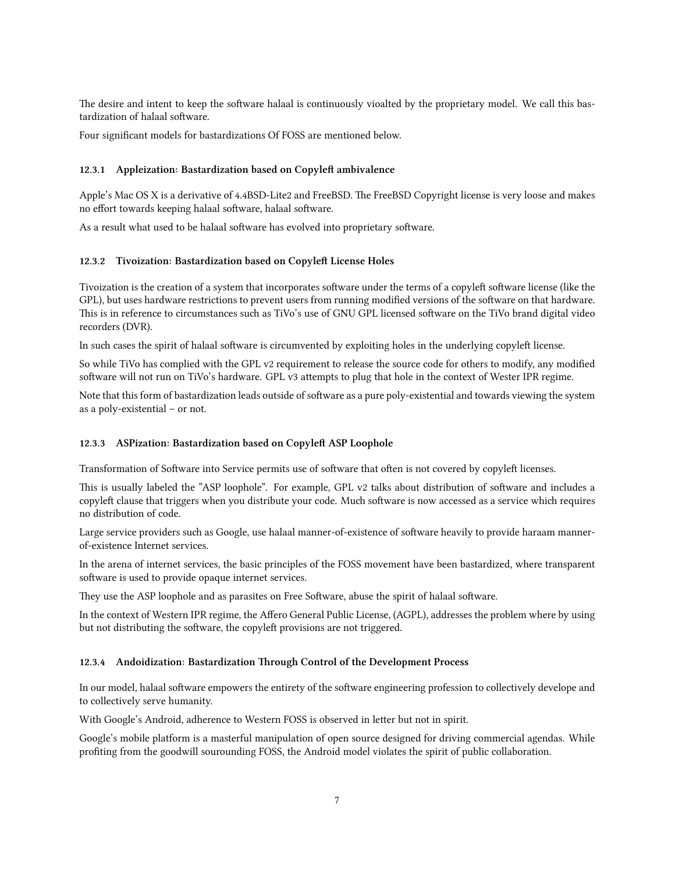The desire and intent to keep the software halaal is continuously vioalted by the proprietary model. We call this bastardization of halaal software.

Four significant models for bastardizations Of FOSS are mentioned below.

#### <span id="page-10-0"></span>**12.3.1 Appleization: Bastardization based on Copyleft ambivalence**

Apple's Mac OS X is a derivative of 4.4BSD-Lite2 and FreeBSD. The FreeBSD Copyright license is very loose and makes no effort towards keeping halaal software, halaal software.

As a result what used to be halaal software has evolved into proprietary software.

#### <span id="page-10-1"></span>12.3.2 Tivoization: Bastardization based on Copyleft License Holes

Tivoization is the creation of a system that incorporates software under the terms of a copyleft software license (like the GPL), but uses hardware restrictions to prevent users from running modified versions of the software on that hardware. This is in reference to circumstances such as TiVo's use of GNU GPL licensed software on the TiVo brand digital video recorders (DVR).

In such cases the spirit of halaal software is circumvented by exploiting holes in the underlying copyleft license.

So while TiVo has complied with the GPL v2 requirement to release the source code for others to modify, any modified software will not run on TiVo's hardware. GPL v3 attempts to plug that hole in the context of Wester IPR regime.

Note that this form of bastardization leads outside of software as a pure poly-existential and towards viewing the system as a poly-existential – or not.

#### <span id="page-10-2"></span>12.3.3 ASPization: Bastardization based on Copyleft ASP Loophole

Transformation of Software into Service permits use of software that often is not covered by copyleft licenses.

This is usually labeled the "ASP loophole". For example, GPL v2 talks about distribution of software and includes a copyleft clause that triggers when you distribute your code. Much software is now accessed as a service which requires no distribution of code.

Large service providers such as Google, use halaal manner-of-existence of software heavily to provide haraam mannerof-existence Internet services.

In the arena of internet services, the basic principles of the FOSS movement have been bastardized, where transparent software is used to provide opaque internet services.

They use the ASP loophole and as parasites on Free Software, abuse the spirit of halaal software.

In the context of Western IPR regime, the Affero General Public License, (AGPL), addresses the problem where by using but not distributing the software, the copyleft provisions are not triggered.

#### <span id="page-10-3"></span>12.3.4 Andoidization: Bastardization Through Control of the Development Process

In our model, halaal software empowers the entirety of the software engineering profession to collectively develope and to collectively serve humanity.

With Google's Android, adherence to Western FOSS is observed in letter but not in spirit.

Google's mobile platform is a masterful manipulation of open source designed for driving commercial agendas. While profiting from the goodwill sourounding FOSS, the Android model violates the spirit of public collaboration.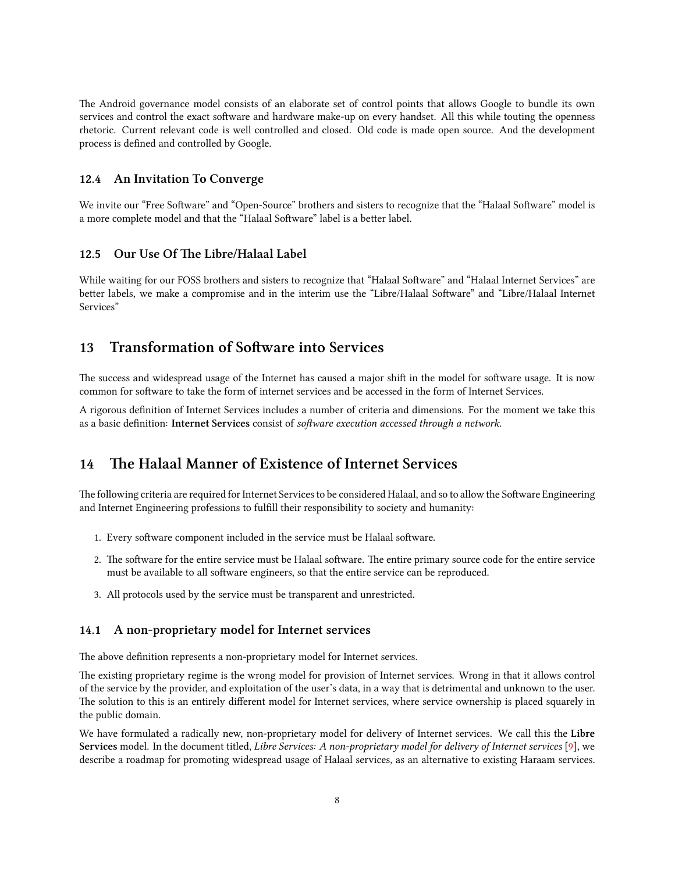e Android governance model consists of an elaborate set of control points that allows Google to bundle its own services and control the exact software and hardware make-up on every handset. All this while touting the openness rhetoric. Current relevant code is well controlled and closed. Old code is made open source. And the development process is defined and controlled by Google.

### <span id="page-11-0"></span>**12.4 An Invitation To Converge**

We invite our "Free Software" and "Open-Source" brothers and sisters to recognize that the "Halaal Software" model is a more complete model and that the "Halaal Software" label is a better label.

### <span id="page-11-1"></span>**12.5 Our Use Of The Libre/Halaal Label**

While waiting for our FOSS brothers and sisters to recognize that "Halaal Software" and "Halaal Internet Services" are better labels, we make a compromise and in the interim use the "Libre/Halaal Software" and "Libre/Halaal Internet Services"

# <span id="page-11-2"></span>13 Transformation of Software into Services

The success and widespread usage of the Internet has caused a major shift in the model for software usage. It is now common for software to take the form of internet services and be accessed in the form of Internet Services.

A rigorous definition of Internet Services includes a number of criteria and dimensions. For the moment we take this as a basic definition: **Internet Services** consist of *soware execution accessed through a network*.

# <span id="page-11-3"></span>14 The Halaal Manner of Existence of Internet Services

The following criteria are required for Internet Services to be considered Halaal, and so to allow the Software Engineering and Internet Engineering professions to fulfill their responsibility to society and humanity:

- 1. Every software component included in the service must be Halaal software.
- 2. The software for the entire service must be Halaal software. The entire primary source code for the entire service must be available to all software engineers, so that the entire service can be reproduced.
- 3. All protocols used by the service must be transparent and unrestricted.

### <span id="page-11-4"></span>**14.1 A non-proprietary model for Internet services**

The above definition represents a non-proprietary model for Internet services.

e existing proprietary regime is the wrong model for provision of Internet services. Wrong in that it allows control of the service by the provider, and exploitation of the user's data, in a way that is detrimental and unknown to the user. The solution to this is an entirely different model for Internet services, where service ownership is placed squarely in the public domain.

We have formulated a radically new, non-proprietary model for delivery of Internet services. We call this the **Libre Services** model. In the document titled, *Libre Services: A non-proprietary model for delivery of Internet services* [[9](#page-24-3)], we describe a roadmap for promoting widespread usage of Halaal services, as an alternative to existing Haraam services.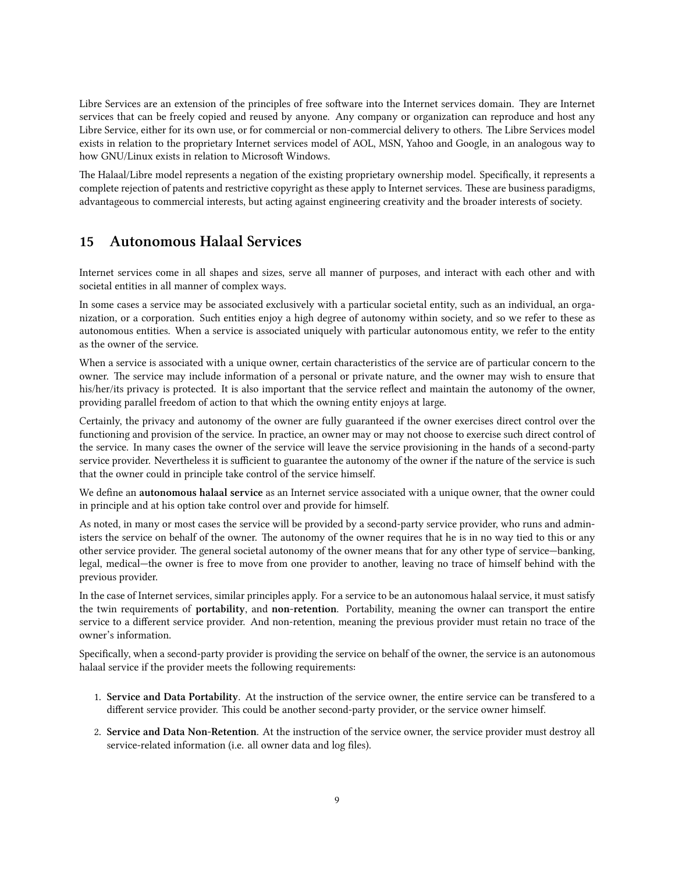Libre Services are an extension of the principles of free software into the Internet services domain. They are Internet services that can be freely copied and reused by anyone. Any company or organization can reproduce and host any Libre Service, either for its own use, or for commercial or non-commercial delivery to others. The Libre Services model exists in relation to the proprietary Internet services model of AOL, MSN, Yahoo and Google, in an analogous way to how GNU/Linux exists in relation to Microsoft Windows.

The Halaal/Libre model represents a negation of the existing proprietary ownership model. Specifically, it represents a complete rejection of patents and restrictive copyright as these apply to Internet services. These are business paradigms, advantageous to commercial interests, but acting against engineering creativity and the broader interests of society.

## <span id="page-12-0"></span>**15 Autonomous Halaal Services**

Internet services come in all shapes and sizes, serve all manner of purposes, and interact with each other and with societal entities in all manner of complex ways.

In some cases a service may be associated exclusively with a particular societal entity, such as an individual, an organization, or a corporation. Such entities enjoy a high degree of autonomy within society, and so we refer to these as autonomous entities. When a service is associated uniquely with particular autonomous entity, we refer to the entity as the owner of the service.

When a service is associated with a unique owner, certain characteristics of the service are of particular concern to the owner. The service may include information of a personal or private nature, and the owner may wish to ensure that his/her/its privacy is protected. It is also important that the service reflect and maintain the autonomy of the owner, providing parallel freedom of action to that which the owning entity enjoys at large.

Certainly, the privacy and autonomy of the owner are fully guaranteed if the owner exercises direct control over the functioning and provision of the service. In practice, an owner may or may not choose to exercise such direct control of the service. In many cases the owner of the service will leave the service provisioning in the hands of a second-party service provider. Nevertheless it is sufficient to guarantee the autonomy of the owner if the nature of the service is such that the owner could in principle take control of the service himself.

We define an **autonomous halaal service** as an Internet service associated with a unique owner, that the owner could in principle and at his option take control over and provide for himself.

As noted, in many or most cases the service will be provided by a second-party service provider, who runs and administers the service on behalf of the owner. The autonomy of the owner requires that he is in no way tied to this or any other service provider. The general societal autonomy of the owner means that for any other type of service—banking, legal, medical—the owner is free to move from one provider to another, leaving no trace of himself behind with the previous provider.

In the case of Internet services, similar principles apply. For a service to be an autonomous halaal service, it must satisfy the twin requirements of **portability**, and **non-retention**. Portability, meaning the owner can transport the entire service to a different service provider. And non-retention, meaning the previous provider must retain no trace of the owner's information.

Specifically, when a second-party provider is providing the service on behalf of the owner, the service is an autonomous halaal service if the provider meets the following requirements:

- 1. **Service and Data Portability**. At the instruction of the service owner, the entire service can be transfered to a different service provider. This could be another second-party provider, or the service owner himself.
- 2. **Service and Data Non-Retention**. At the instruction of the service owner, the service provider must destroy all service-related information (i.e. all owner data and log files).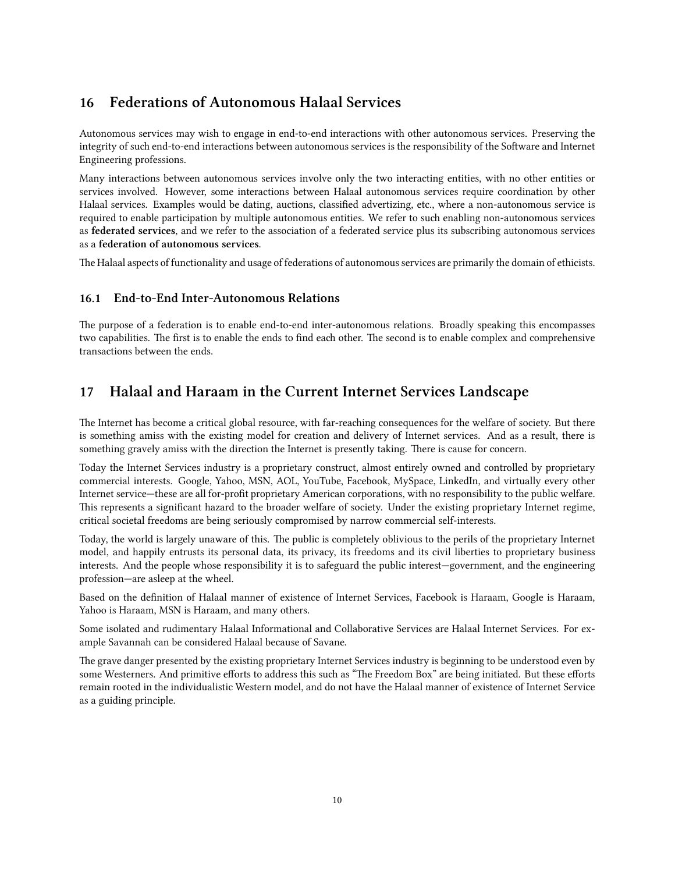# <span id="page-13-0"></span>**16 Federations of Autonomous Halaal Services**

Autonomous services may wish to engage in end-to-end interactions with other autonomous services. Preserving the integrity of such end-to-end interactions between autonomous services is the responsibility of the Software and Internet Engineering professions.

Many interactions between autonomous services involve only the two interacting entities, with no other entities or services involved. However, some interactions between Halaal autonomous services require coordination by other Halaal services. Examples would be dating, auctions, classified advertizing, etc., where a non-autonomous service is required to enable participation by multiple autonomous entities. We refer to such enabling non-autonomous services as **federated services**, and we refer to the association of a federated service plus its subscribing autonomous services as a **federation of autonomous services**.

The Halaal aspects of functionality and usage of federations of autonomous services are primarily the domain of ethicists.

### <span id="page-13-1"></span>**16.1 End-to-End Inter-Autonomous Relations**

The purpose of a federation is to enable end-to-end inter-autonomous relations. Broadly speaking this encompasses two capabilities. The first is to enable the ends to find each other. The second is to enable complex and comprehensive transactions between the ends.

## <span id="page-13-2"></span>**17 Halaal and Haraam in the Current Internet Services Landscape**

The Internet has become a critical global resource, with far-reaching consequences for the welfare of society. But there is something amiss with the existing model for creation and delivery of Internet services. And as a result, there is something gravely amiss with the direction the Internet is presently taking. There is cause for concern.

Today the Internet Services industry is a proprietary construct, almost entirely owned and controlled by proprietary commercial interests. Google, Yahoo, MSN, AOL, YouTube, Facebook, MySpace, LinkedIn, and virtually every other Internet service—these are all for-profit proprietary American corporations, with no responsibility to the public welfare. This represents a significant hazard to the broader welfare of society. Under the existing proprietary Internet regime, critical societal freedoms are being seriously compromised by narrow commercial self-interests.

Today, the world is largely unaware of this. The public is completely oblivious to the perils of the proprietary Internet model, and happily entrusts its personal data, its privacy, its freedoms and its civil liberties to proprietary business interests. And the people whose responsibility it is to safeguard the public interest—government, and the engineering profession—are asleep at the wheel.

Based on the definition of Halaal manner of existence of Internet Services, Facebook is Haraam, Google is Haraam, Yahoo is Haraam, MSN is Haraam, and many others.

Some isolated and rudimentary Halaal Informational and Collaborative Services are Halaal Internet Services. For example Savannah can be considered Halaal because of Savane.

The grave danger presented by the existing proprietary Internet Services industry is beginning to be understood even by some Westerners. And primitive efforts to address this such as "The Freedom Box" are being initiated. But these efforts remain rooted in the individualistic Western model, and do not have the Halaal manner of existence of Internet Service as a guiding principle.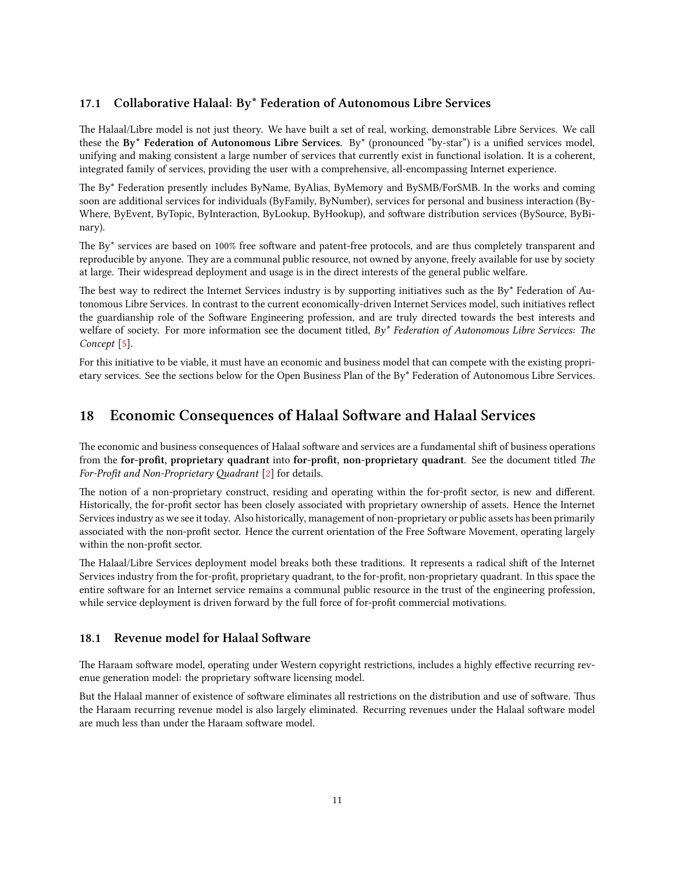### <span id="page-14-0"></span>**17.1 Collaborative Halaal: By\* Federation of Autonomous Libre Services**

e Halaal/Libre model is not just theory. We have built a set of real, working, demonstrable Libre Services. We call these the **By\* Federation of Autonomous Libre Services**. By\* (pronounced "by-star") is a unified services model, unifying and making consistent a large number of services that currently exist in functional isolation. It is a coherent, integrated family of services, providing the user with a comprehensive, all-encompassing Internet experience.

The By\* Federation presently includes ByName, ByAlias, ByMemory and BySMB/ForSMB. In the works and coming soon are additional services for individuals (ByFamily, ByNumber), services for personal and business interaction (By-Where, ByEvent, ByTopic, ByInteraction, ByLookup, ByHookup), and software distribution services (BySource, ByBinary).

The By\* services are based on 100% free software and patent-free protocols, and are thus completely transparent and reproducible by anyone. They are a communal public resource, not owned by anyone, freely available for use by society at large. Their widespread deployment and usage is in the direct interests of the general public welfare.

The best way to redirect the Internet Services industry is by supporting initiatives such as the By\* Federation of Autonomous Libre Services. In contrast to the current economically-driven Internet Services model, such initiatives reflect the guardianship role of the Software Engineering profession, and are truly directed towards the best interests and welfare of society. For more information see the document titled,  $By^*$  Federation of Autonomous Libre Services: The *Concept* [\[5\]](#page-23-2).

For this initiative to be viable, it must have an economic and business model that can compete with the existing proprietary services. See the sections below for the Open Business Plan of the By\* Federation of Autonomous Libre Services.

# <span id="page-14-1"></span>**18 Economic Consequences of Halaal Software and Halaal Services**

The economic and business consequences of Halaal software and services are a fundamental shift of business operations from the **for-profit**, proprietary quadrant into for-profit, non-proprietary quadrant. See the document titled *The For-Profit and Non-Proprietary Quadrant* [\[2](#page-23-3)] for details.

The notion of a non-proprietary construct, residing and operating within the for-profit sector, is new and different. Historically, the for-profit sector has been closely associated with proprietary ownership of assets. Hence the Internet Services industry as we see it today. Also historically, management of non-proprietary or public assets has been primarily associated with the non-profit sector. Hence the current orientation of the Free Software Movement, operating largely within the non-profit sector.

The Halaal/Libre Services deployment model breaks both these traditions. It represents a radical shift of the Internet Services industry from the for-profit, proprietary quadrant, to the for-profit, non-proprietary quadrant. In this space the entire software for an Internet service remains a communal public resource in the trust of the engineering profession, while service deployment is driven forward by the full force of for-profit commercial motivations.

### <span id="page-14-2"></span>**18.1 Revenue model for Halaal Software**

The Haraam software model, operating under Western copyright restrictions, includes a highly effective recurring revenue generation model: the proprietary software licensing model.

But the Halaal manner of existence of software eliminates all restrictions on the distribution and use of software. Thus the Haraam recurring revenue model is also largely eliminated. Recurring revenues under the Halaal software model are much less than under the Haraam software model.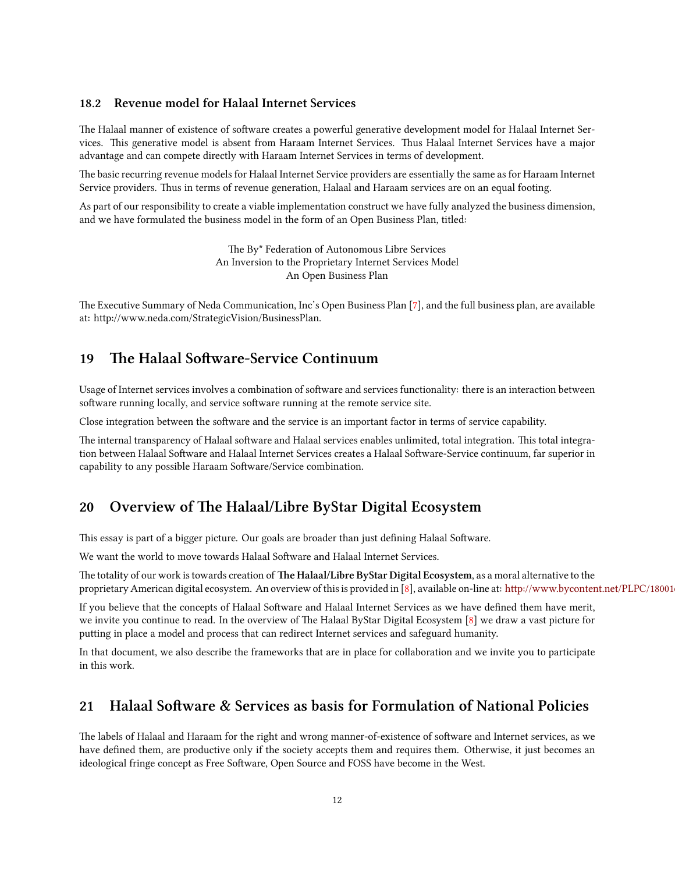### <span id="page-15-0"></span>**18.2 Revenue model for Halaal Internet Services**

The Halaal manner of existence of software creates a powerful generative development model for Halaal Internet Services. This generative model is absent from Haraam Internet Services. Thus Halaal Internet Services have a major advantage and can compete directly with Haraam Internet Services in terms of development.

The basic recurring revenue models for Halaal Internet Service providers are essentially the same as for Haraam Internet Service providers. Thus in terms of revenue generation, Halaal and Haraam services are on an equal footing.

As part of our responsibility to create a viable implementation construct we have fully analyzed the business dimension, and we have formulated the business model in the form of an Open Business Plan, titled:

> The By\* Federation of Autonomous Libre Services An Inversion to the Proprietary Internet Services Model An Open Business Plan

e Executive Summary of Neda Communication, Inc's Open Business Plan [\[7\]](#page-23-4), and the full business plan, are available at: http://www.neda.com/StrategicVision/BusinessPlan.

# <span id="page-15-1"></span>**19** The Halaal Software-Service Continuum

Usage of Internet services involves a combination of software and services functionality: there is an interaction between software running locally, and service software running at the remote service site.

Close integration between the software and the service is an important factor in terms of service capability.

The internal transparency of Halaal software and Halaal services enables unlimited, total integration. This total integration between Halaal Software and Halaal Internet Services creates a Halaal Software-Service continuum, far superior in capability to any possible Haraam Software/Service combination.

# <span id="page-15-2"></span>20 Overview of The Halaal/Libre ByStar Digital Ecosystem

This essay is part of a bigger picture. Our goals are broader than just defining Halaal Software.

We want the world to move towards Halaal Software and Halaal Internet Services.

The totality of our work is towards creation of The Halaal/Libre ByStar Digital Ecosystem, as a moral alternative to the proprietary American digital ecosystem. An overview of this is provided in [\[8](#page-23-5)], available on-line at: http://www.bycontent.net/PLPC/18001

If you believe that the concepts of Halaal Software and Halaal Internet Services as we have defined them have merit, we invite you continue to read. In the overview of The Halaal ByStar Digital Ecosystem [\[8\]](#page-23-5) we draw a vast picture for puing in place a model and process that can redirect Internet services and safeguard humanity.

In that document, we also describe the frameworks that are in place for collaboration and we invite you to participate in this work.

# <span id="page-15-3"></span>21 Halaal Software & Services as basis for Formulation of National Policies

The labels of Halaal and Haraam for the right and wrong manner-of-existence of software and Internet services, as we have defined them, are productive only if the society accepts them and requires them. Otherwise, it just becomes an ideological fringe concept as Free Software, Open Source and FOSS have become in the West.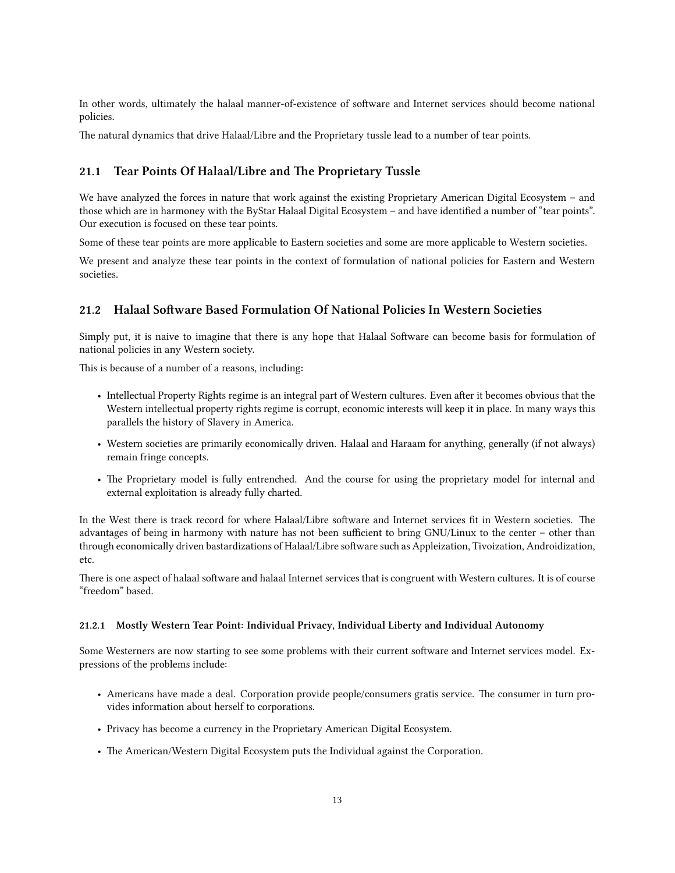In other words, ultimately the halaal manner-of-existence of software and Internet services should become national policies.

e natural dynamics that drive Halaal/Libre and the Proprietary tussle lead to a number of tear points.

### <span id="page-16-0"></span>**21.1 Tear Points Of Halaal/Libre and The Proprietary Tussle**

We have analyzed the forces in nature that work against the existing Proprietary American Digital Ecosystem – and those which are in harmoney with the ByStar Halaal Digital Ecosystem - and have identified a number of "tear points". Our execution is focused on these tear points.

Some of these tear points are more applicable to Eastern societies and some are more applicable to Western societies.

We present and analyze these tear points in the context of formulation of national policies for Eastern and Western societies.

### <span id="page-16-1"></span>21.2 Halaal Software Based Formulation Of National Policies In Western Societies

Simply put, it is naive to imagine that there is any hope that Halaal Software can become basis for formulation of national policies in any Western society.

This is because of a number of a reasons, including:

- Intellectual Property Rights regime is an integral part of Western cultures. Even after it becomes obvious that the Western intellectual property rights regime is corrupt, economic interests will keep it in place. In many ways this parallels the history of Slavery in America.
- Western societies are primarily economically driven. Halaal and Haraam for anything, generally (if not always) remain fringe concepts.
- The Proprietary model is fully entrenched. And the course for using the proprietary model for internal and external exploitation is already fully charted.

In the West there is track record for where Halaal/Libre software and Internet services fit in Western societies. The advantages of being in harmony with nature has not been sufficient to bring GNU/Linux to the center – other than through economically driven bastardizations of Halaal/Libre software such as Appleization, Tivoization, Androidization, etc.

There is one aspect of halaal software and halaal Internet services that is congruent with Western cultures. It is of course "freedom" based.

#### <span id="page-16-2"></span>**21.2.1 Mostly Western Tear Point: Individual Privacy, Individual Liberty and Individual Autonomy**

Some Westerners are now starting to see some problems with their current software and Internet services model. Expressions of the problems include:

- Americans have made a deal. Corporation provide people/consumers gratis service. The consumer in turn provides information about herself to corporations.
- Privacy has become a currency in the Proprietary American Digital Ecosystem.
- The American/Western Digital Ecosystem puts the Individual against the Corporation.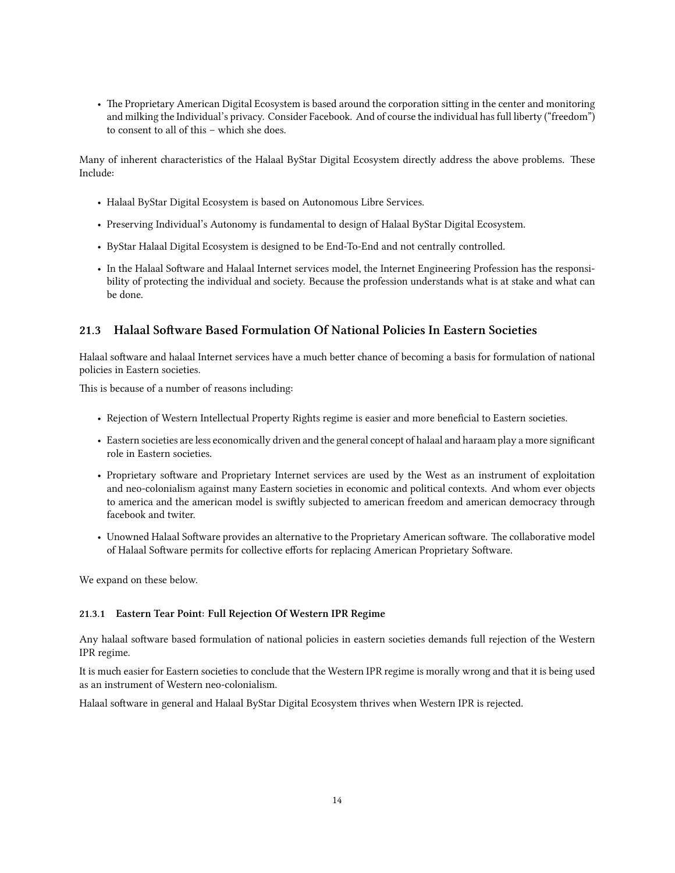• The Proprietary American Digital Ecosystem is based around the corporation sitting in the center and monitoring and milking the Individual's privacy. Consider Facebook. And of course the individual has full liberty ("freedom") to consent to all of this – which she does.

Many of inherent characteristics of the Halaal ByStar Digital Ecosystem directly address the above problems. These Include:

- Halaal ByStar Digital Ecosystem is based on Autonomous Libre Services.
- Preserving Individual's Autonomy is fundamental to design of Halaal ByStar Digital Ecosystem.
- ByStar Halaal Digital Ecosystem is designed to be End-To-End and not centrally controlled.
- In the Halaal Software and Halaal Internet services model, the Internet Engineering Profession has the responsibility of protecting the individual and society. Because the profession understands what is at stake and what can be done.

### <span id="page-17-0"></span>**21.3 Halaal Soware Based Formulation Of National Policies In Eastern Societies**

Halaal software and halaal Internet services have a much better chance of becoming a basis for formulation of national policies in Eastern societies.

This is because of a number of reasons including:

- Rejection of Western Intellectual Property Rights regime is easier and more beneficial to Eastern societies.
- Eastern societies are less economically driven and the general concept of halaal and haraam play a more significant role in Eastern societies.
- Proprietary software and Proprietary Internet services are used by the West as an instrument of exploitation and neo-colonialism against many Eastern societies in economic and political contexts. And whom ever objects to america and the american model is swiftly subjected to american freedom and american democracy through facebook and twiter.
- Unowned Halaal Software provides an alternative to the Proprietary American software. The collaborative model of Halaal Software permits for collective efforts for replacing American Proprietary Software.

We expand on these below.

#### <span id="page-17-1"></span>**21.3.1 Eastern Tear Point: Full Rejection Of Western IPR Regime**

Any halaal software based formulation of national policies in eastern societies demands full rejection of the Western IPR regime.

It is much easier for Eastern societies to conclude that the Western IPR regime is morally wrong and that it is being used as an instrument of Western neo-colonialism.

Halaal software in general and Halaal ByStar Digital Ecosystem thrives when Western IPR is rejected.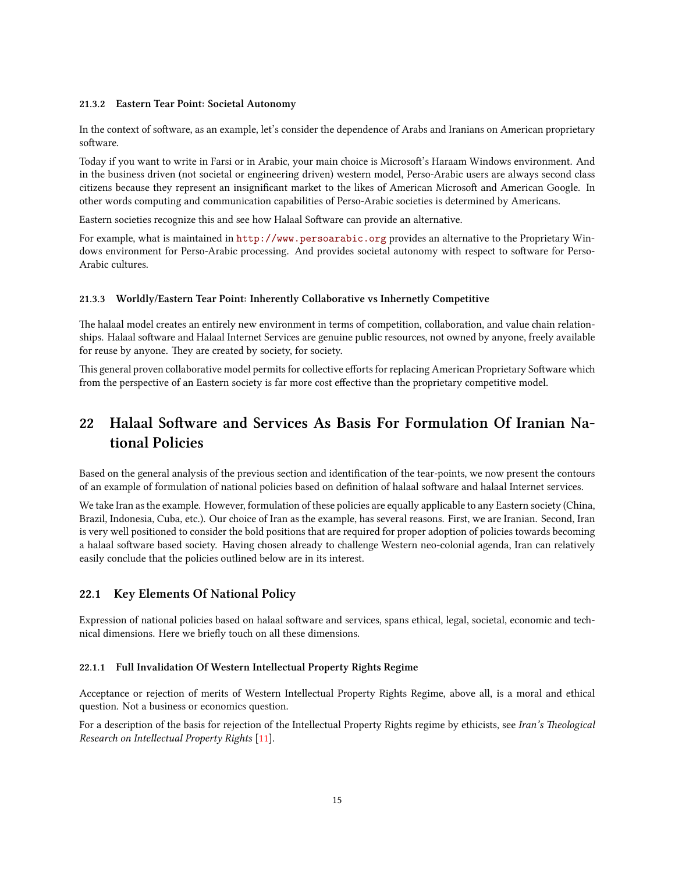#### <span id="page-18-0"></span>**21.3.2 Eastern Tear Point: Societal Autonomy**

In the context of software, as an example, let's consider the dependence of Arabs and Iranians on American proprietary software.

Today if you want to write in Farsi or in Arabic, your main choice is Microsoft's Haraam Windows environment. And in the business driven (not societal or engineering driven) western model, Perso-Arabic users are always second class citizens because they represent an insignificant market to the likes of American Microsoft and American Google. In other words computing and communication capabilities of Perso-Arabic societies is determined by Americans.

Eastern societies recognize this and see how Halaal Software can provide an alternative.

For example, what is maintained in <http://www.persoarabic.org> provides an alternative to the Proprietary Windows environment for Perso-Arabic processing. And provides societal autonomy with respect to software for Perso-Arabic cultures.

#### <span id="page-18-1"></span>**21.3.3 Worldly/Eastern Tear Point: Inherently Collaborative vs Inhernetly Competitive**

The halaal model creates an entirely new environment in terms of competition, collaboration, and value chain relationships. Halaal software and Halaal Internet Services are genuine public resources, not owned by anyone, freely available for reuse by anyone. They are created by society, for society.

This general proven collaborative model permits for collective efforts for replacing American Proprietary Software which from the perspective of an Eastern society is far more cost effective than the proprietary competitive model.

# <span id="page-18-2"></span>22 Halaal Software and Services As Basis For Formulation Of Iranian Na**tional Policies**

Based on the general analysis of the previous section and identification of the tear-points, we now present the contours of an example of formulation of national policies based on definition of halaal software and halaal Internet services.

We take Iran as the example. However, formulation of these policies are equally applicable to any Eastern society (China, Brazil, Indonesia, Cuba, etc.). Our choice of Iran as the example, has several reasons. First, we are Iranian. Second, Iran is very well positioned to consider the bold positions that are required for proper adoption of policies towards becoming a halaal software based society. Having chosen already to challenge Western neo-colonial agenda, Iran can relatively easily conclude that the policies outlined below are in its interest.

### <span id="page-18-3"></span>**22.1 Key Elements Of National Policy**

Expression of national policies based on halaal software and services, spans ethical, legal, societal, economic and technical dimensions. Here we briefly touch on all these dimensions.

#### <span id="page-18-4"></span>**22.1.1 Full Invalidation Of Western Intellectual Property Rights Regime**

Acceptance or rejection of merits of Western Intellectual Property Rights Regime, above all, is a moral and ethical question. Not a business or economics question.

For a description of the basis for rejection of the Intellectual Property Rights regime by ethicists, see *Iran's Theological Resear on Intellectual Property Rights* [[11\]](#page-24-2).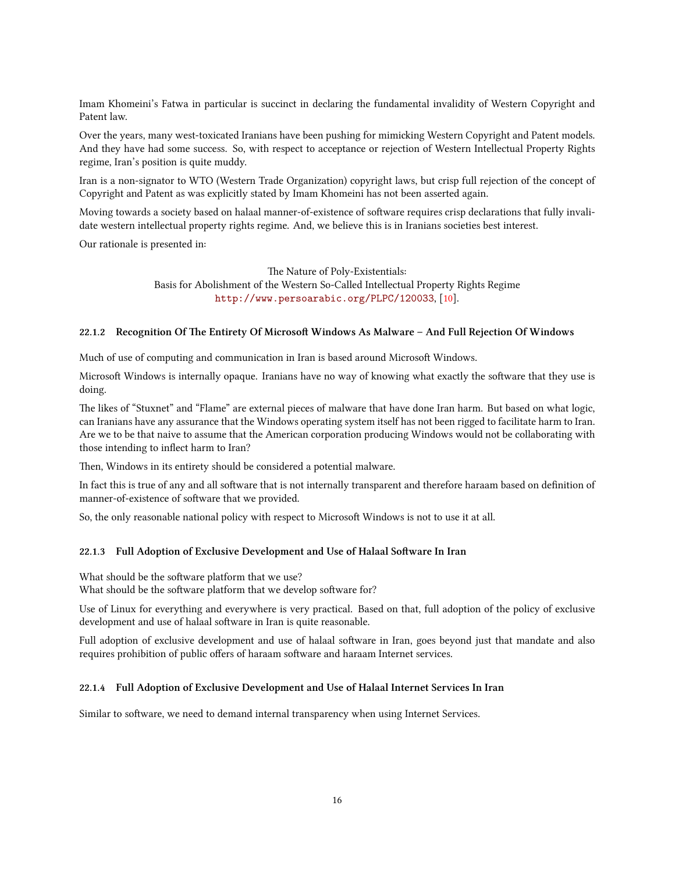Imam Khomeini's Fatwa in particular is succinct in declaring the fundamental invalidity of Western Copyright and Patent law.

Over the years, many west-toxicated Iranians have been pushing for mimicking Western Copyright and Patent models. And they have had some success. So, with respect to acceptance or rejection of Western Intellectual Property Rights regime, Iran's position is quite muddy.

Iran is a non-signator to WTO (Western Trade Organization) copyright laws, but crisp full rejection of the concept of Copyright and Patent as was explicitly stated by Imam Khomeini has not been asserted again.

Moving towards a society based on halaal manner-of-existence of software requires crisp declarations that fully invalidate western intellectual property rights regime. And, we believe this is in Iranians societies best interest.

Our rationale is presented in:

The Nature of Poly-Existentials:

Basis for Abolishment of the Western So-Called Intellectual Property Rights Regime <http://www.persoarabic.org/PLPC/120033>, [\[10\]](#page-24-1).

#### <span id="page-19-0"></span>22.1.2 Recognition Of The Entirety Of Microsoft Windows As Malware - And Full Rejection Of Windows

Much of use of computing and communication in Iran is based around Microsoft Windows.

Microsoft Windows is internally opaque. Iranians have no way of knowing what exactly the software that they use is doing.

The likes of "Stuxnet" and "Flame" are external pieces of malware that have done Iran harm. But based on what logic, can Iranians have any assurance that the Windows operating system itself has not been rigged to facilitate harm to Iran. Are we to be that naive to assume that the American corporation producing Windows would not be collaborating with those intending to inflect harm to Iran?

Then, Windows in its entirety should be considered a potential malware.

In fact this is true of any and all software that is not internally transparent and therefore haraam based on definition of manner-of-existence of software that we provided.

So, the only reasonable national policy with respect to Microsoft Windows is not to use it at all.

### <span id="page-19-1"></span>22.1.3 Full Adoption of Exclusive Development and Use of Halaal Software In Iran

What should be the software platform that we use? What should be the software platform that we develop software for?

Use of Linux for everything and everywhere is very practical. Based on that, full adoption of the policy of exclusive development and use of halaal software in Iran is quite reasonable.

Full adoption of exclusive development and use of halaal software in Iran, goes beyond just that mandate and also requires prohibition of public offers of haraam software and haraam Internet services.

#### <span id="page-19-2"></span>**22.1.4 Full Adoption of Exclusive Development and Use of Halaal Internet Services In Iran**

Similar to software, we need to demand internal transparency when using Internet Services.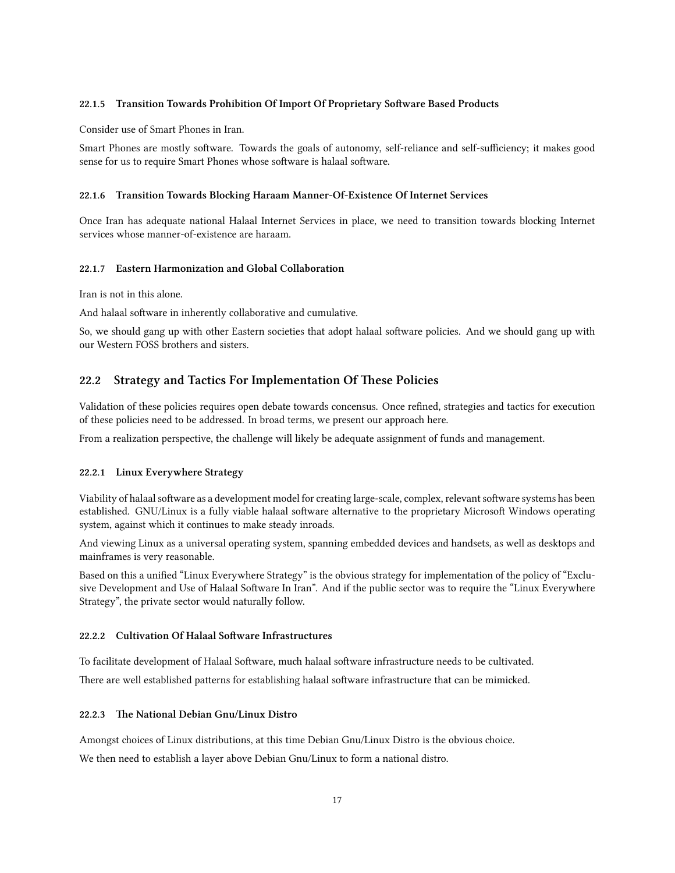#### <span id="page-20-0"></span>22.1.5 Transition Towards Prohibition Of Import Of Proprietary Software Based Products

Consider use of Smart Phones in Iran.

Smart Phones are mostly software. Towards the goals of autonomy, self-reliance and self-sufficiency; it makes good sense for us to require Smart Phones whose software is halaal software.

#### <span id="page-20-1"></span>22.1.6 Transition Towards Blocking Haraam Manner-Of-Existence Of Internet Services

Once Iran has adequate national Halaal Internet Services in place, we need to transition towards blocking Internet services whose manner-of-existence are haraam.

#### <span id="page-20-2"></span>**22.1.7 Eastern Harmonization and Global Collaboration**

Iran is not in this alone.

And halaal software in inherently collaborative and cumulative.

So, we should gang up with other Eastern societies that adopt halaal software policies. And we should gang up with our Western FOSS brothers and sisters.

### <span id="page-20-3"></span>22.2 Strategy and Tactics For Implementation Of These Policies

Validation of these policies requires open debate towards concensus. Once refined, strategies and tactics for execution of these policies need to be addressed. In broad terms, we present our approach here.

From a realization perspective, the challenge will likely be adequate assignment of funds and management.

#### <span id="page-20-4"></span>**22.2.1 Linux Everywhere Strategy**

Viability of halaal software as a development model for creating large-scale, complex, relevant software systems has been established. GNU/Linux is a fully viable halaal software alternative to the proprietary Microsoft Windows operating system, against which it continues to make steady inroads.

And viewing Linux as a universal operating system, spanning embedded devices and handsets, as well as desktops and mainframes is very reasonable.

Based on this a unified "Linux Everywhere Strategy" is the obvious strategy for implementation of the policy of "Exclusive Development and Use of Halaal Software In Iran". And if the public sector was to require the "Linux Everywhere Strategy", the private sector would naturally follow.

#### <span id="page-20-5"></span>22.2.2 Cultivation Of Halaal Software Infrastructures

To facilitate development of Halaal Software, much halaal software infrastructure needs to be cultivated.

There are well established patterns for establishing halaal software infrastructure that can be mimicked.

#### <span id="page-20-6"></span>**22.2.3 e National Debian Gnu/Linux Distro**

Amongst choices of Linux distributions, at this time Debian Gnu/Linux Distro is the obvious choice.

We then need to establish a layer above Debian Gnu/Linux to form a national distro.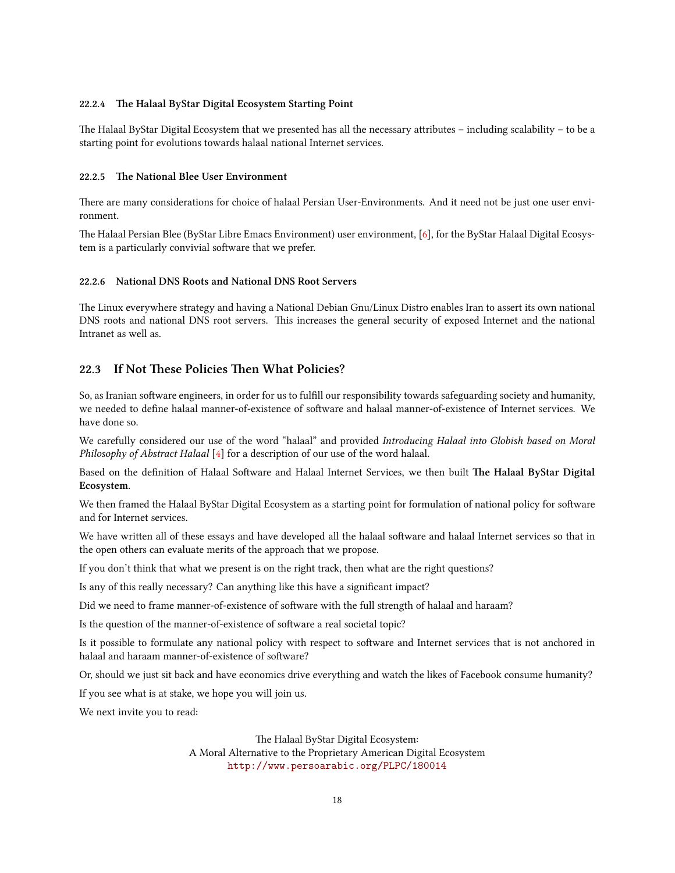#### <span id="page-21-0"></span>**22.2.4 e Halaal ByStar Digital Ecosystem Starting Point**

The Halaal ByStar Digital Ecosystem that we presented has all the necessary attributes – including scalability – to be a starting point for evolutions towards halaal national Internet services.

#### <span id="page-21-1"></span>22.2.5 The National Blee User Environment

There are many considerations for choice of halaal Persian User-Environments. And it need not be just one user environment.

The Halaal Persian Blee (ByStar Libre Emacs Environment) user environment, [\[6\]](#page-23-6), for the ByStar Halaal Digital Ecosystem is a particularly convivial software that we prefer.

#### <span id="page-21-2"></span>**22.2.6 National DNS Roots and National DNS Root Servers**

The Linux everywhere strategy and having a National Debian Gnu/Linux Distro enables Iran to assert its own national DNS roots and national DNS root servers. This increases the general security of exposed Internet and the national Intranet as well as.

### <span id="page-21-3"></span>22.3 If Not These Policies Then What Policies?

So, as Iranian software engineers, in order for us to fulfill our responsibility towards safeguarding society and humanity, we needed to define halaal manner-of-existence of software and halaal manner-of-existence of Internet services. We have done so.

We carefully considered our use of the word "halaal" and provided *Introducing Halaal into Globish based on Moral Philosophy of Abstract Halaal* [[4](#page-23-1)] for a description of our use of the word halaal.

Based on the definition of Halaal Software and Halaal Internet Services, we then built The Halaal ByStar Digital **Ecosystem**.

We then framed the Halaal ByStar Digital Ecosystem as a starting point for formulation of national policy for software and for Internet services.

We have written all of these essays and have developed all the halaal software and halaal Internet services so that in the open others can evaluate merits of the approach that we propose.

If you don't think that what we present is on the right track, then what are the right questions?

Is any of this really necessary? Can anything like this have a significant impact?

Did we need to frame manner-of-existence of software with the full strength of halaal and haraam?

Is the question of the manner-of-existence of software a real societal topic?

Is it possible to formulate any national policy with respect to software and Internet services that is not anchored in halaal and haraam manner-of-existence of software?

Or, should we just sit back and have economics drive everything and watch the likes of Facebook consume humanity?

If you see what is at stake, we hope you will join us.

We next invite you to read:

The Halaal ByStar Digital Ecosystem: A Moral Alternative to the Proprietary American Digital Ecosystem <http://www.persoarabic.org/PLPC/180014>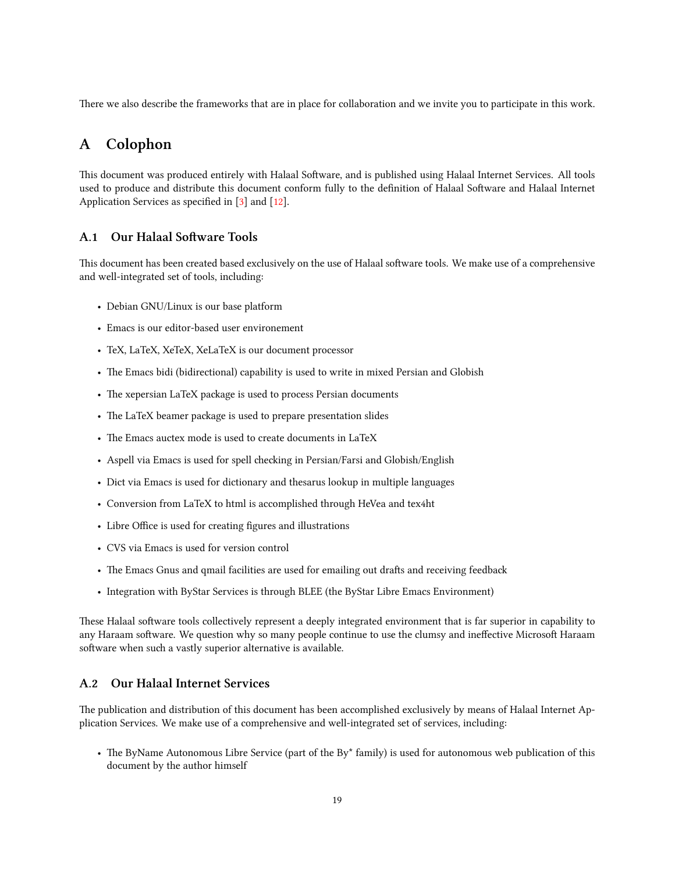There we also describe the frameworks that are in place for collaboration and we invite you to participate in this work.

# <span id="page-22-0"></span>**A Colophon**

This document was produced entirely with Halaal Software, and is published using Halaal Internet Services. All tools used to produce and distribute this document conform fully to the definition of Halaal Software and Halaal Internet Application Services as specified in [\[3](#page-23-7)] and [\[12\]](#page-24-0).

### <span id="page-22-1"></span>**A.1** Our Halaal Software Tools

This document has been created based exclusively on the use of Halaal software tools. We make use of a comprehensive and well-integrated set of tools, including:

- Debian GNU/Linux is our base platform
- Emacs is our editor-based user environement
- TeX, LaTeX, XeTeX, XeLaTeX is our document processor
- The Emacs bidi (bidirectional) capability is used to write in mixed Persian and Globish
- The xepersian LaTeX package is used to process Persian documents
- The LaTeX beamer package is used to prepare presentation slides
- The Emacs auctex mode is used to create documents in LaTeX
- Aspell via Emacs is used for spell checking in Persian/Farsi and Globish/English
- Dict via Emacs is used for dictionary and thesarus lookup in multiple languages
- Conversion from LaTeX to html is accomplished through HeVea and tex4ht
- Libre Office is used for creating figures and illustrations
- CVS via Emacs is used for version control
- The Emacs Gnus and qmail facilities are used for emailing out drafts and receiving feedback
- Integration with ByStar Services is through BLEE (the ByStar Libre Emacs Environment)

These Halaal software tools collectively represent a deeply integrated environment that is far superior in capability to any Haraam software. We question why so many people continue to use the clumsy and ineffective Microsoft Haraam software when such a vastly superior alternative is available.

### <span id="page-22-2"></span>**A.2 Our Halaal Internet Services**

The publication and distribution of this document has been accomplished exclusively by means of Halaal Internet Application Services. We make use of a comprehensive and well-integrated set of services, including:

• The ByName Autonomous Libre Service (part of the By<sup>\*</sup> family) is used for autonomous web publication of this document by the author himself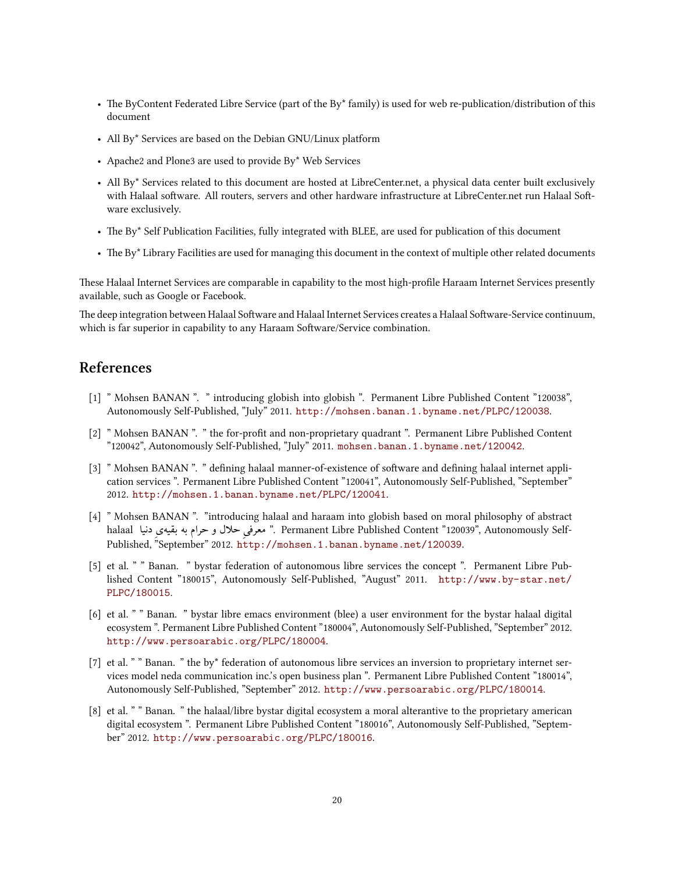- The ByContent Federated Libre Service (part of the By\* family) is used for web re-publication/distribution of this document
- All By\* Services are based on the Debian GNU/Linux platform
- Apache2 and Plone3 are used to provide By\* Web Services
- All By\* Services related to this document are hosted at LibreCenter.net, a physical data center built exclusively with Halaal software. All routers, servers and other hardware infrastructure at LibreCenter.net run Halaal Software exclusively.
- The By\* Self Publication Facilities, fully integrated with BLEE, are used for publication of this document
- The By\* Library Facilities are used for managing this document in the context of multiple other related documents

These Halaal Internet Services are comparable in capability to the most high-profile Haraam Internet Services presently available, such as Google or Facebook.

The deep integration between Halaal Software and Halaal Internet Services creates a Halaal Software-Service continuum, which is far superior in capability to any Haraam Software/Service combination.

### **References**

- <span id="page-23-0"></span>[1] " Mohsen BANAN ". " introducing globish into globish ". Permanent Libre Published Content "120038", Autonomously Self-Published, "July" 2011. <http://mohsen.banan.1.byname.net/PLPC/120038>.
- <span id="page-23-3"></span>[2] " Mohsen BANAN ". " the for-profit and non-proprietary quadrant ". Permanent Libre Published Content "120042", Autonomously Self-Published, "July" 2011. <mohsen.banan.1.byname.net/120042>.
- <span id="page-23-7"></span>[3] " Mohsen BANAN ". " defining halaal manner-of-existence of software and defining halaal internet application services ". Permanent Libre Published Content "120041", Autonomously Self-Published, "September" 2012. <http://mohsen.1.banan.byname.net/PLPC/120041>.
- <span id="page-23-1"></span>[4] " Mohsen BANAN ". "introducing halaal and haraam into globish based on moral philosophy of abstract halaal دنیا ِیبقیه به حرام و حلال ̥ͳمعرف" . Permanent Libre Published Content "120039", Autonomously Self-Published, "September" 2012. <http://mohsen.1.banan.byname.net/120039>.
- <span id="page-23-2"></span>[5] et al. " " Banan. " bystar federation of autonomous libre services the concept ". Permanent Libre Published Content "180015", Autonomously Self-Published, "August" 2011. [http://www.by-star.net/](http://www.by-star.net/PLPC/180015) [PLPC/180015](http://www.by-star.net/PLPC/180015).
- <span id="page-23-6"></span>[6] et al. " " Banan. " bystar libre emacs environment (blee) a user environment for the bystar halaal digital ecosystem ". Permanent Libre Published Content "180004", Autonomously Self-Published, "September" 2012. <http://www.persoarabic.org/PLPC/180004>.
- <span id="page-23-4"></span>[7] et al. " " Banan. " the by\* federation of autonomous libre services an inversion to proprietary internet services model neda communication inc.'s open business plan ". Permanent Libre Published Content "180014", Autonomously Self-Published, "September" 2012. <http://www.persoarabic.org/PLPC/180014>.
- <span id="page-23-5"></span>[8] et al. " " Banan. " the halaal/libre bystar digital ecosystem a moral alterantive to the proprietary american digital ecosystem ". Permanent Libre Published Content "180016", Autonomously Self-Published, "September" 2012. <http://www.persoarabic.org/PLPC/180016>.